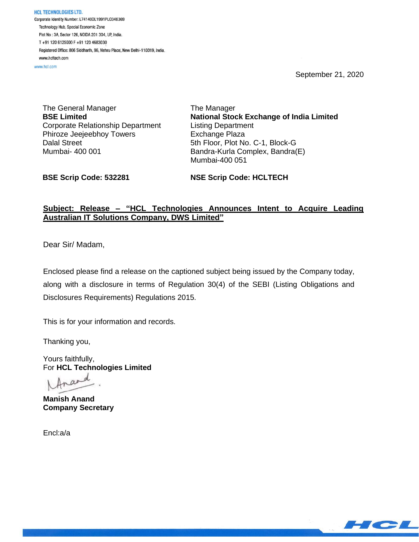September 21, 2020

HCL TECHNOLOGIES LTD. Corporate Identity Number: L74140DL1991PLC046369 Technology Hub, Special Economic Zone Plot No: 3A, Sector 126, NOIDA 201 304, UP, India. T+91 120 6125000 F+91 120 4683030 Registered Office: 806 Siddharth, 96, Nehru Place, New Delhi-110019, India. www.hcltech.com

www.hcl.com

The General Manager **BSE Limited** Corporate Relationship Department Phiroze Jeejeebhoy Towers Dalal Street Mumbai- 400 001

The Manager **National Stock Exchange of India Limited** Listing Department Exchange Plaza 5th Floor, Plot No. C-1, Block-G Bandra-Kurla Complex, Bandra(E) Mumbai-400 051

**BSE Scrip Code: 532281**

**NSE Scrip Code: HCLTECH**

## **Subject: Release – "HCL Technologies Announces Intent to Acquire Leading Australian IT Solutions Company, DWS Limited"**

Dear Sir/ Madam,

Enclosed please find a release on the captioned subject being issued by the Company today, along with a disclosure in terms of Regulation 30(4) of the SEBI (Listing Obligations and Disclosures Requirements) Regulations 2015.

This is for your information and records.

Thanking you,

Yours faithfully, For **HCL Technologies Limited**

Ina

**Manish Anand Company Secretary**

Encl:a/a

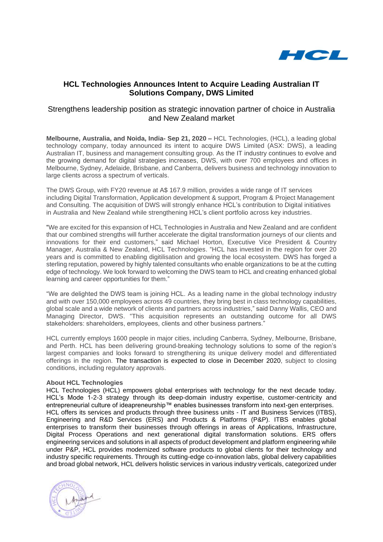

## **HCL Technologies Announces Intent to Acquire Leading Australian IT Solutions Company, DWS Limited**

### Strengthens leadership position as strategic innovation partner of choice in Australia and New Zealand market

**Melbourne, Australia, and Noida, India- Sep 21, 2020 –** HCL Technologies, (HCL), a leading global technology company, today announced its intent to acquire DWS Limited (ASX: DWS), a leading Australian IT, business and management consulting group. As the IT industry continues to evolve and the growing demand for digital strategies increases, DWS, with over 700 employees and offices in Melbourne, Sydney, Adelaide, Brisbane, and Canberra, delivers business and technology innovation to large clients across a spectrum of verticals.

The DWS Group, with FY20 revenue at A\$ 167.9 million, provides a wide range of IT services including Digital Transformation, Application development & support, Program & Project Management and Consulting. The acquisition of DWS will strongly enhance HCL's contribution to Digital initiatives in Australia and New Zealand while strengthening HCL's client portfolio across key industries.

"We are excited for this expansion of HCL Technologies in Australia and New Zealand and are confident that our combined strengths will further accelerate the digital transformation journeys of our clients and innovations for their end customers," said Michael Horton, Executive Vice President & Country Manager, Australia & New Zealand, HCL Technologies. "HCL has invested in the region for over 20 years and is committed to enabling digitilisation and growing the local ecosystem. DWS has forged a sterling reputation, powered by highly talented consultants who enable organizations to be at the cutting edge of technology. We look forward to welcoming the DWS team to HCL and creating enhanced global learning and career opportunities for them."

"We are delighted the DWS team is joining HCL. As a leading name in the global technology industry and with over 150,000 employees across 49 countries, they bring best in class technology capabilities, global scale and a wide network of clients and partners across industries," said Danny Wallis, CEO and Managing Director, DWS. "This acquisition represents an outstanding outcome for all DWS stakeholders: shareholders, employees, clients and other business partners."

HCL currently employs 1600 people in major cities, including Canberra, Sydney, Melbourne, Brisbane, and Perth. HCL has been delivering ground-breaking technology solutions to some of the region's largest companies and looks forward to strengthening its unique delivery model and differentiated offerings in the region. The transaction is expected to close in December 2020, subject to closing conditions, including regulatory approvals.

#### **About HCL Technologies**

HCL Technologies (HCL) empowers global enterprises with technology for the next decade today. HCL's Mode 1-2-3 strategy through its deep-domain industry expertise, customer-centricity and entrepreneurial culture of ideapreneurship™ enables businesses transform into next-gen enterprises. HCL offers its services and products through three business units - IT and Business Services (ITBS), Engineering and R&D Services (ERS) and Products & Platforms (P&P). ITBS enables global enterprises to transform their businesses through offerings in areas of Applications, Infrastructure, Digital Process Operations and next generational digital transformation solutions. ERS offers engineering services and solutions in all aspects of product development and platform engineering while under P&P, HCL provides modernized software products to global clients for their technology and industry specific requirements. Through its cutting-edge co-innovation labs, global delivery capabilities and broad global network, HCL delivers holistic services in various industry verticals, categorized under

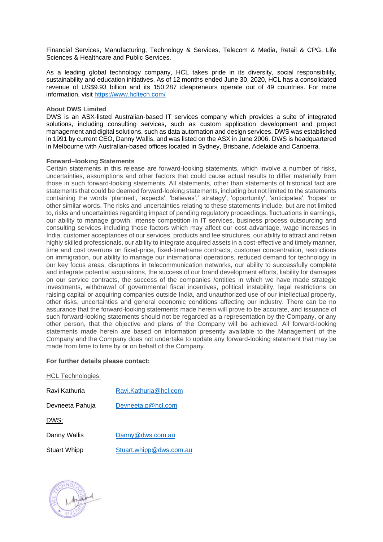Financial Services, Manufacturing, Technology & Services, Telecom & Media, Retail & CPG, Life Sciences & Healthcare and Public Services.

As a leading global technology company, HCL takes pride in its diversity, social responsibility, sustainability and education initiatives. As of 12 months ended June 30, 2020, HCL has a consolidated revenue of US\$9.93 billion and its 150,287 ideapreneurs operate out of 49 countries. For more information, visit<https://www.hcltech.com/>

#### **About DWS Limited**

DWS is an ASX-listed Australian-based IT services company which provides a suite of integrated solutions, including consulting services, such as custom application development and project management and digital solutions, such as data automation and design services. DWS was established in 1991 by current CEO, Danny Wallis, and was listed on the ASX in June 2006. DWS is headquartered in Melbourne with Australian-based offices located in Sydney, Brisbane, Adelaide and Canberra.

#### **Forward–looking Statements**

Certain statements in this release are forward-looking statements, which involve a number of risks, uncertainties, assumptions and other factors that could cause actual results to differ materially from those in such forward-looking statements. All statements, other than statements of historical fact are statements that could be deemed forward-looking statements, including but not limited to the statements containing the words 'planned', 'expects', 'believes',' strategy', 'opportunity', 'anticipates', 'hopes' or other similar words. The risks and uncertainties relating to these statements include, but are not limited to, risks and uncertainties regarding impact of pending regulatory proceedings, fluctuations in earnings, our ability to manage growth, intense competition in IT services, business process outsourcing and consulting services including those factors which may affect our cost advantage, wage increases in India, customer acceptances of our services, products and fee structures, our ability to attract and retain highly skilled professionals, our ability to integrate acquired assets in a cost-effective and timely manner, time and cost overruns on fixed-price, fixed-timeframe contracts, customer concentration, restrictions on immigration, our ability to manage our international operations, reduced demand for technology in our key focus areas, disruptions in telecommunication networks, our ability to successfully complete and integrate potential acquisitions, the success of our brand development efforts, liability for damages on our service contracts, the success of the companies /entities in which we have made strategic investments, withdrawal of governmental fiscal incentives, political instability, legal restrictions on raising capital or acquiring companies outside India, and unauthorized use of our intellectual property, other risks, uncertainties and general economic conditions affecting our industry. There can be no assurance that the forward-looking statements made herein will prove to be accurate, and issuance of such forward-looking statements should not be regarded as a representation by the Company, or any other person, that the objective and plans of the Company will be achieved. All forward-looking statements made herein are based on information presently available to the Management of the Company and the Company does not undertake to update any forward-looking statement that may be made from time to time by or on behalf of the Company.

#### **For further details please contact:**

| <b>HCL Technologies:</b> |                         |
|--------------------------|-------------------------|
| Ravi Kathuria            | Ravi.Kathuria@hcl.com   |
| Devneeta Pahuja          | Devneeta.p@hcl.com      |
| DWS:                     |                         |
| Danny Wallis             | Danny@dws.com.au        |
| <b>Stuart Whipp</b>      | Stuart.whipp@dws.com.au |

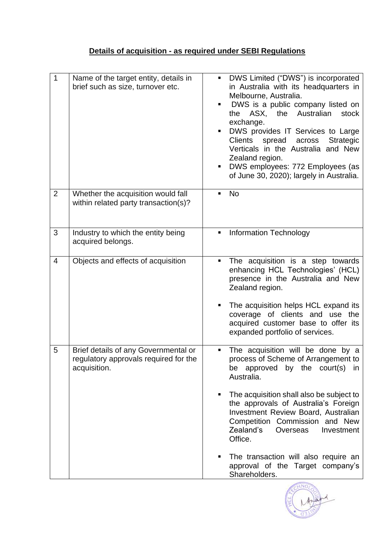# **Details of acquisition - as required under SEBI Regulations**

| 1              | Name of the target entity, details in<br>brief such as size, turnover etc.                    | DWS Limited ("DWS") is incorporated<br>$\blacksquare$<br>in Australia with its headquarters in<br>Melbourne, Australia.<br>DWS is a public company listed on<br>٠<br>the ASX, the Australian<br>stock<br>exchange.<br>DWS provides IT Services to Large<br>Ξ<br><b>Strategic</b><br>Clients<br>spread<br>across<br>Verticals in the Australia and New<br>Zealand region.<br>DWS employees: 772 Employees (as<br>ш<br>of June 30, 2020); largely in Australia. |
|----------------|-----------------------------------------------------------------------------------------------|---------------------------------------------------------------------------------------------------------------------------------------------------------------------------------------------------------------------------------------------------------------------------------------------------------------------------------------------------------------------------------------------------------------------------------------------------------------|
| $\overline{2}$ | Whether the acquisition would fall<br>within related party transaction(s)?                    | <b>No</b><br>$\blacksquare$                                                                                                                                                                                                                                                                                                                                                                                                                                   |
| 3              | Industry to which the entity being<br>acquired belongs.                                       | <b>Information Technology</b><br>٠                                                                                                                                                                                                                                                                                                                                                                                                                            |
| $\overline{4}$ | Objects and effects of acquisition                                                            | The acquisition is a step towards<br>٠<br>enhancing HCL Technologies' (HCL)<br>presence in the Australia and New<br>Zealand region.<br>The acquisition helps HCL expand its<br>п<br>coverage of clients and use the<br>acquired customer base to offer its<br>expanded portfolio of services.                                                                                                                                                                 |
| 5              | Brief details of any Governmental or<br>regulatory approvals required for the<br>acquisition. | The acquisition will be done by a<br>٠<br>process of Scheme of Arrangement to<br>be approved by the court(s) in<br>Australia.<br>The acquisition shall also be subject to<br>٠<br>the approvals of Australia's Foreign<br>Investment Review Board, Australian                                                                                                                                                                                                 |
|                |                                                                                               | Competition Commission and New<br>Zealand's<br>Overseas<br>Investment<br>Office.<br>The transaction will also require an<br>п<br>approval of the Target company's<br>Shareholders.                                                                                                                                                                                                                                                                            |